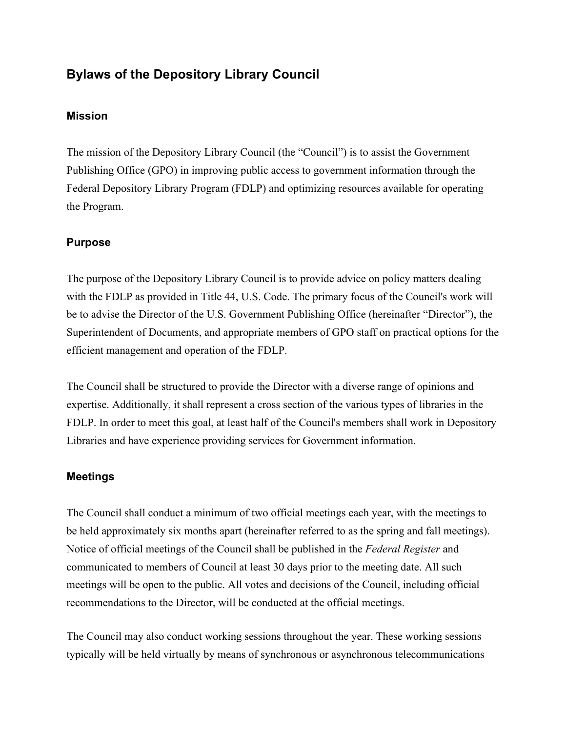# **Bylaws of the Depository Library Council**

## **Mission**

The mission of the Depository Library Council (the "Council") is to assist the Government Publishing Office (GPO) in improving public access to government information through the Federal Depository Library Program (FDLP) and optimizing resources available for operating the Program.

## **Purpose**

The purpose of the Depository Library Council is to provide advice on policy matters dealing with the FDLP as provided in Title 44, U.S. Code. The primary focus of the Council's work will be to advise the Director of the U.S. Government Publishing Office (hereinafter "Director"), the Superintendent of Documents, and appropriate members of GPO staff on practical options for the efficient management and operation of the FDLP.

The Council shall be structured to provide the Director with a diverse range of opinions and expertise. Additionally, it shall represent a cross section of the various types of libraries in the FDLP. In order to meet this goal, at least half of the Council's members shall work in Depository Libraries and have experience providing services for Government information.

## **Meetings**

The Council shall conduct a minimum of two official meetings each year, with the meetings to be held approximately six months apart (hereinafter referred to as the spring and fall meetings). Notice of official meetings of the Council shall be published in the *Federal Register* and communicated to members of Council at least 30 days prior to the meeting date. All such meetings will be open to the public. All votes and decisions of the Council, including official recommendations to the Director, will be conducted at the official meetings.

The Council may also conduct working sessions throughout the year. These working sessions typically will be held virtually by means of synchronous or asynchronous telecommunications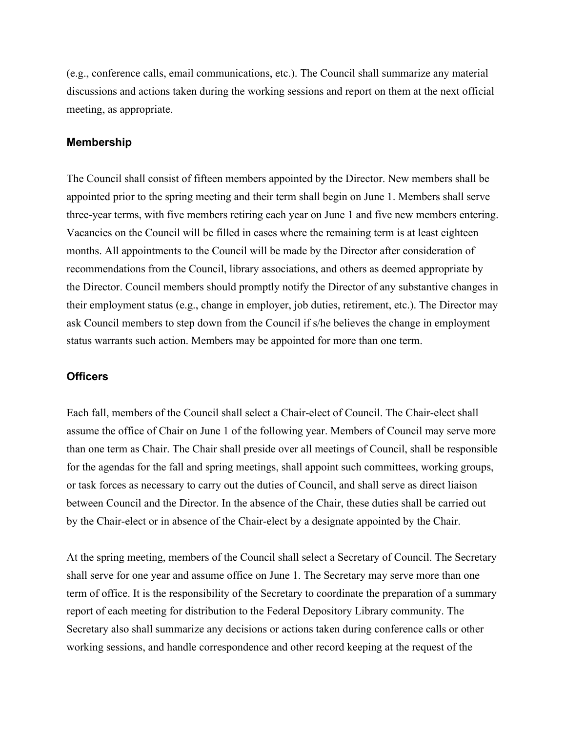(e.g., conference calls, email communications, etc.). The Council shall summarize any material discussions and actions taken during the working sessions and report on them at the next official meeting, as appropriate.

#### **Membership**

The Council shall consist of fifteen members appointed by the Director. New members shall be appointed prior to the spring meeting and their term shall begin on June 1. Members shall serve three-year terms, with five members retiring each year on June 1 and five new members entering. Vacancies on the Council will be filled in cases where the remaining term is at least eighteen months. All appointments to the Council will be made by the Director after consideration of recommendations from the Council, library associations, and others as deemed appropriate by the Director. Council members should promptly notify the Director of any substantive changes in their employment status (e.g., change in employer, job duties, retirement, etc.). The Director may ask Council members to step down from the Council if s/he believes the change in employment status warrants such action. Members may be appointed for more than one term.

#### **Officers**

Each fall, members of the Council shall select a Chair-elect of Council. The Chair-elect shall assume the office of Chair on June 1 of the following year. Members of Council may serve more than one term as Chair. The Chair shall preside over all meetings of Council, shall be responsible for the agendas for the fall and spring meetings, shall appoint such committees, working groups, or task forces as necessary to carry out the duties of Council, and shall serve as direct liaison between Council and the Director. In the absence of the Chair, these duties shall be carried out by the Chair-elect or in absence of the Chair-elect by a designate appointed by the Chair.

At the spring meeting, members of the Council shall select a Secretary of Council. The Secretary shall serve for one year and assume office on June 1. The Secretary may serve more than one term of office. It is the responsibility of the Secretary to coordinate the preparation of a summary report of each meeting for distribution to the Federal Depository Library community. The Secretary also shall summarize any decisions or actions taken during conference calls or other working sessions, and handle correspondence and other record keeping at the request of the